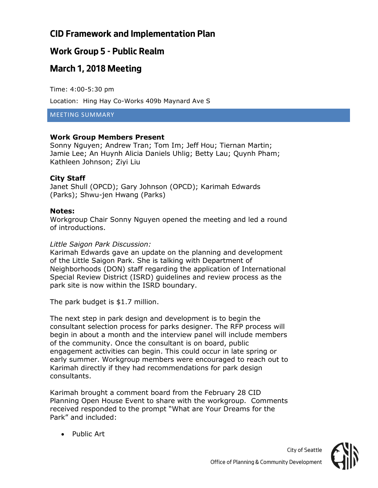## **Work Group 5 - Public Realm**

# **March 1, 2018 Meeting**

Time: 4:00-5:30 pm

Location: Hing Hay Co-Works 409b Maynard Ave S

MEETING SUMMARY

#### **Work Group Members Present**

Sonny Nguyen; Andrew Tran; Tom Im; Jeff Hou; Tiernan Martin; Jamie Lee; An Huynh Alicia Daniels Uhlig; Betty Lau; Quynh Pham; Kathleen Johnson; Ziyi Liu

#### **City Staff**

Janet Shull (OPCD); Gary Johnson (OPCD); Karimah Edwards (Parks); Shwu-jen Hwang (Parks)

#### **Notes:**

Workgroup Chair Sonny Nguyen opened the meeting and led a round of introductions.

#### *Little Saigon Park Discussion:*

Karimah Edwards gave an update on the planning and development of the Little Saigon Park. She is talking with Department of Neighborhoods (DON) staff regarding the application of International Special Review District (ISRD) guidelines and review process as the park site is now within the ISRD boundary.

The park budget is \$1.7 million.

The next step in park design and development is to begin the consultant selection process for parks designer. The RFP process will begin in about a month and the interview panel will include members of the community. Once the consultant is on board, public engagement activities can begin. This could occur in late spring or early summer. Workgroup members were encouraged to reach out to Karimah directly if they had recommendations for park design consultants.

Karimah brought a comment board from the February 28 CID Planning Open House Event to share with the workgroup. Comments received responded to the prompt "What are Your Dreams for the Park" and included:

• Public Art

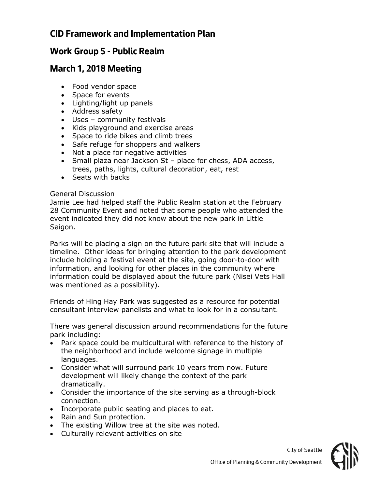### **Work Group 5 - Public Realm**

#### **March 1, 2018 Meeting**

- Food vendor space
- Space for events
- Lighting/light up panels
- Address safety
- Uses community festivals
- Kids playground and exercise areas
- Space to ride bikes and climb trees
- Safe refuge for shoppers and walkers
- Not a place for negative activities
- Small plaza near Jackson St place for chess, ADA access, trees, paths, lights, cultural decoration, eat, rest
- Seats with backs

#### General Discussion

Jamie Lee had helped staff the Public Realm station at the February 28 Community Event and noted that some people who attended the event indicated they did not know about the new park in Little Saigon.

Parks will be placing a sign on the future park site that will include a timeline. Other ideas for bringing attention to the park development include holding a festival event at the site, going door-to-door with information, and looking for other places in the community where information could be displayed about the future park (Nisei Vets Hall was mentioned as a possibility).

Friends of Hing Hay Park was suggested as a resource for potential consultant interview panelists and what to look for in a consultant.

There was general discussion around recommendations for the future park including:

- Park space could be multicultural with reference to the history of the neighborhood and include welcome signage in multiple languages.
- Consider what will surround park 10 years from now. Future development will likely change the context of the park dramatically.
- Consider the importance of the site serving as a through-block connection.
- Incorporate public seating and places to eat.
- Rain and Sun protection.
- The existing Willow tree at the site was noted.
- Culturally relevant activities on site

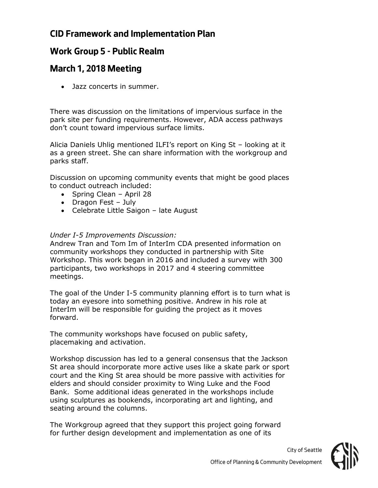### **Work Group 5 - Public Realm**

## **March 1, 2018 Meeting**

• Jazz concerts in summer.

There was discussion on the limitations of impervious surface in the park site per funding requirements. However, ADA access pathways don't count toward impervious surface limits.

Alicia Daniels Uhlig mentioned ILFI's report on King St – looking at it as a green street. She can share information with the workgroup and parks staff.

Discussion on upcoming community events that might be good places to conduct outreach included:

- Spring Clean April 28
- Dragon Fest July
- Celebrate Little Saigon late August

#### *Under I-5 Improvements Discussion:*

Andrew Tran and Tom Im of InterIm CDA presented information on community workshops they conducted in partnership with Site Workshop. This work began in 2016 and included a survey with 300 participants, two workshops in 2017 and 4 steering committee meetings.

The goal of the Under I-5 community planning effort is to turn what is today an eyesore into something positive. Andrew in his role at InterIm will be responsible for guiding the project as it moves forward.

The community workshops have focused on public safety, placemaking and activation.

Workshop discussion has led to a general consensus that the Jackson St area should incorporate more active uses like a skate park or sport court and the King St area should be more passive with activities for elders and should consider proximity to Wing Luke and the Food Bank. Some additional ideas generated in the workshops include using sculptures as bookends, incorporating art and lighting, and seating around the columns.

The Workgroup agreed that they support this project going forward for further design development and implementation as one of its



*City of Seattle*